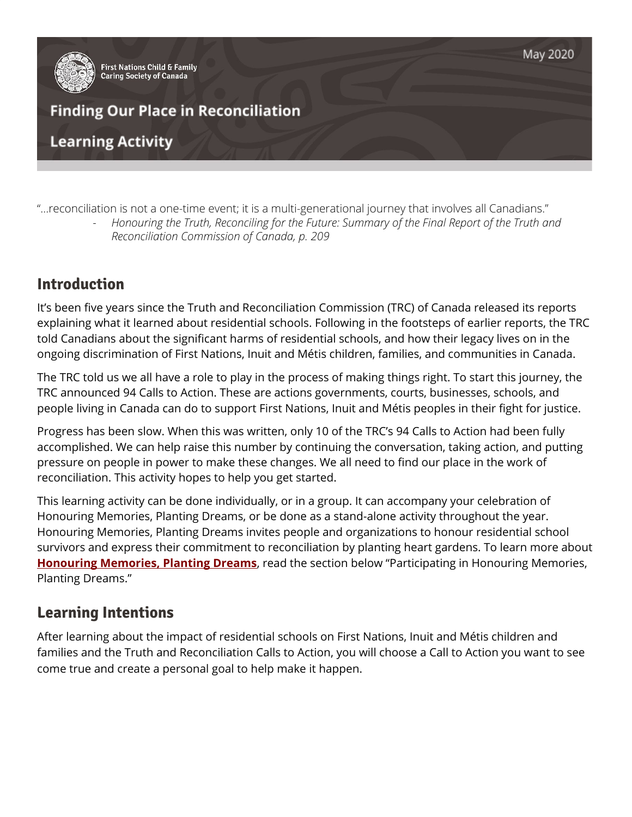

"...reconciliation is not a one-time event; it is a multi-generational journey that involves all Canadians."

*- Honouring the Truth, Reconciling for the Future: Summary of the Final Report of the Truth and Reconciliation Commission of Canada, p. 209*

# **Introduction**

It's been five years since the Truth and Reconciliation Commission (TRC) of Canada released its reports explaining what it learned about residential schools. Following in the footsteps of earlier reports, the TRC told Canadians about the significant harms of residential schools, and how their legacy lives on in the ongoing discrimination of First Nations, Inuit and Métis children, families, and communities in Canada.

The TRC told us we all have a role to play in the process of making things right. To start this journey, the TRC announced 94 Calls to Action. These are actions governments, courts, businesses, schools, and people living in Canada can do to support First Nations, Inuit and Métis peoples in their fight for justice.

Progress has been slow. When this was written, only 10 of the TRC's 94 Calls to Action had been fully accomplished. We can help raise this number by continuing the conversation, taking action, and putting pressure on people in power to make these changes. We all need to find our place in the work of reconciliation. This activity hopes to help you get started.

This learning activity can be done individually, or in a group. It can accompany your celebration of Honouring Memories, Planting Dreams, or be done as a stand-alone activity throughout the year. Honouring Memories, Planting Dreams invites people and organizations to honour residential school survivors and express their commitment to reconciliation by planting heart gardens. To learn more about **[Honouring](https://fncaringsociety.com/honouring-memories-planting-dreams) Memories, Planting Dreams**, read the section below "Participating in Honouring Memories, Planting Dreams."

# **Learning Intentions**

After learning about the impact of residential schools on First Nations, Inuit and Métis children and families and the Truth and Reconciliation Calls to Action, you will choose a Call to Action you want to see come true and create a personal goal to help make it happen.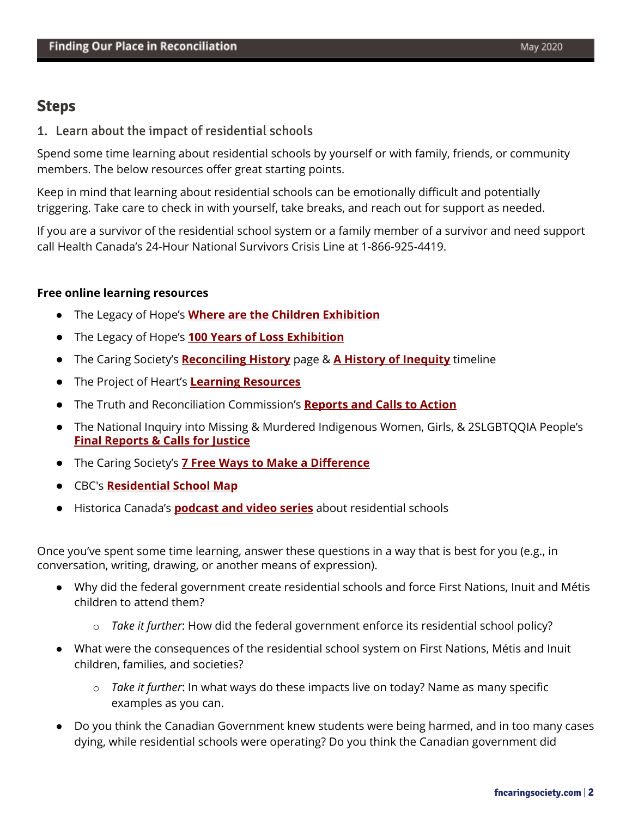## **Steps**

1. Learn about the impact of residential schools

Spend some time learning about residential schools by yourself or with family, friends, or community members. The below resources offer great starting points.

Keep in mind that learning about residential schools can be emotionally difficult and potentially triggering. Take care to check in with yourself, take breaks, and reach out for support as needed.

If you are a survivor of the residential school system or a family member of a survivor and need support call Health Canada's 24-Hour National Survivors Crisis Line at 1-866-925-4419.

### **Free online learning resources**

- The Legacy of Hope's **Where are the Children [Exhibition](http://wherearethechildren.ca/en/)**
- The Legacy of Hope's **100 Years of Loss [Exhibition](http://100yearsofloss.ca/en/)**
- The Caring Society's **[Reconciling](https://fncaringsociety.com/reconciling-history) History** page & **A History of [Inequity](https://fncaringsociety.com/reconciling-history-timeline)** timeline
- The Project of Heart's **Learning [Resources](http://projectofheart.ca/what-is-project-of-heart/resources/)**
- The Truth and Reconciliation Commission's **[Reports](https://nctr.ca/reports2.php) and Calls to Action**
- The National Inquiry into Missing & Murdered Indigenous Women, Girls, & 2SLGBTQQIA People's **Final [Reports](https://www.mmiwg-ffada.ca/final-report/) & Calls for Justice**
- The Caring Society's **7 Free Ways to Make a [Difference](https://fncaringsociety.com/7-free-ways-make-difference)**
- CBC's **[Residential](https://www.cbc.ca/news2/interactives/beyond-94-residential-school-map/) School Map**
- Historica Canada's **[podcast](https://www.thecanadianencyclopedia.ca/en/article/residential-schools-podcast-series) and video series** about residential schools

Once you've spent some time learning, answer these questions in a way that is best for you (e.g., in conversation, writing, drawing, or another means of expression).

- Why did the federal government create residential schools and force First Nations, Inuit and Métis children to attend them?
	- o *Take it further*: How did the federal government enforce its residential school policy?
- What were the consequences of the residential school system on First Nations, Métis and Inuit children, families, and societies?
	- o *Take it further*: In what ways do these impacts live on today? Name as many specific examples as you can.
- Do you think the Canadian Government knew students were being harmed, and in too many cases dying, while residential schools were operating? Do you think the Canadian government did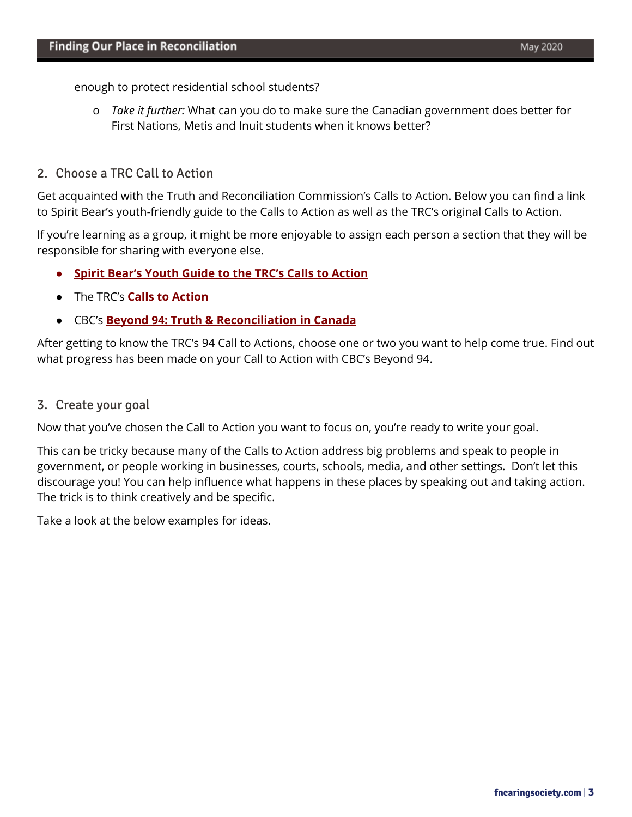enough to protect residential school students?

o *Take it further:* What can you do to make sure the Canadian government does better for First Nations, Metis and Inuit students when it knows better?

#### 2. Choose a TRC Call to Action

Get acquainted with the Truth and Reconciliation Commission's Calls to Action. Below you can find a link to Spirit Bear's youth-friendly guide to the Calls to Action as well as the TRC's original Calls to Action.

If you're learning as a group, it might be more enjoyable to assign each person a section that they will be responsible for sharing with everyone else.

- **● Spirit Bear's Youth Guide to the TRC's Calls to [Action](https://fncaringsociety.com/sites/default/files/child_friendly_calls_to_action_web.pdf)**
- The [TRC's](http://trc.ca/assets/pdf/Calls_to_Action_English2.pdf) **[C](http://trc.ca/assets/pdf/Calls_to_Action_English2.pdf)alls to [Action](http://trc.ca/assets/pdf/Calls_to_Action_English2.pdf)**
- [CBC's](https://newsinteractives.cbc.ca/longform-single/beyond-94?&cta=1) **Beyond 94: Truth & [Reconciliation](https://newsinteractives.cbc.ca/longform-single/beyond-94?&cta=1) in Canada**

After getting to know the TRC's 94 Call to Actions, choose one or two you want to help come true. Find out what progress has been made on your Call to Action with CBC's Beyond 94.

#### 3. Create your goal

Now that you've chosen the Call to Action you want to focus on, you're ready to write your goal.

This can be tricky because many of the Calls to Action address big problems and speak to people in government, or people working in businesses, courts, schools, media, and other settings. Don't let this discourage you! You can help influence what happens in these places by speaking out and taking action. The trick is to think creatively and be specific.

Take a look at the below examples for ideas.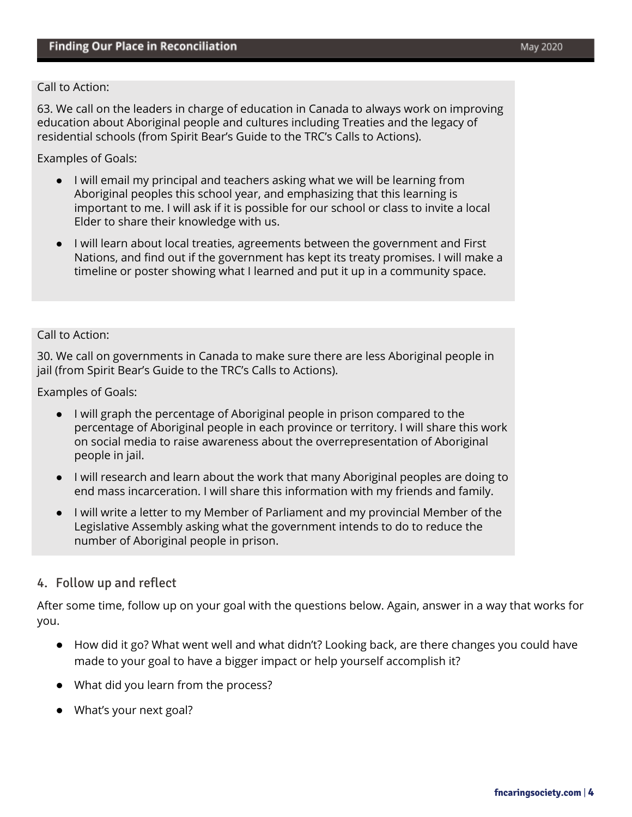#### Call to Action:

63. We call on the leaders in charge of education in Canada to always work on improving education about Aboriginal people and cultures including Treaties and the legacy of residential schools (from Spirit Bear's Guide to the TRC's Calls to Actions).

Examples of Goals:

- I will email my principal and teachers asking what we will be learning from Aboriginal peoples this school year, and emphasizing that this learning is important to me. I will ask if it is possible for our school or class to invite a local Elder to share their knowledge with us.
- I will learn about local treaties, agreements between the government and First Nations, and find out if the government has kept its treaty promises. I will make a timeline or poster showing what I learned and put it up in a community space.

#### Call to Action:

30. We call on governments in Canada to make sure there are less Aboriginal people in jail (from Spirit Bear's Guide to the TRC's Calls to Actions).

Examples of Goals:

- I will graph the percentage of Aboriginal people in prison compared to the percentage of Aboriginal people in each province or territory. I will share this work on social media to raise awareness about the overrepresentation of Aboriginal people in jail.
- I will research and learn about the work that many Aboriginal peoples are doing to end mass incarceration. I will share this information with my friends and family.
- I will write a letter to my Member of Parliament and my provincial Member of the Legislative Assembly asking what the government intends to do to reduce the number of Aboriginal people in prison.

### 4. Follow up and reflect

After some time, follow up on your goal with the questions below. Again, answer in a way that works for you.

- How did it go? What went well and what didn't? Looking back, are there changes you could have made to your goal to have a bigger impact or help yourself accomplish it?
- What did you learn from the process?
- What's your next goal?